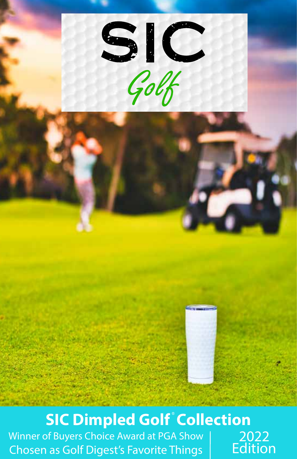

#### **SIC Dimpled Golf Collection**

Winner of Buyers Choice Award at PGA Show Chosen as Golf Digest's Favorite Things

2022 **Edition**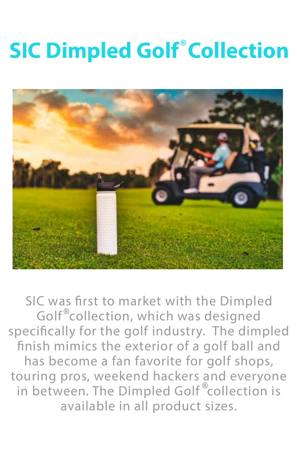## **SIC Dimpled Golf Collection**



SIC was first to market with the Dimpled Golf<sup>®</sup>collection, which was designed specifically for the golf industry. The dimpled finish mimics the exterior of a golf ball and has become a fan favorite for golf shops, touring pros, weekend hackers and everyone in between. The Dimpled Golf<sup>®</sup>collection is available in all product sizes.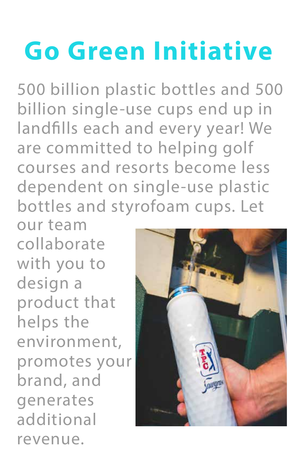# **Go Green Initiative**

500 billion plastic bottles and 500 billion single-use cups end up in landfills each and every year! We are committed to helping golf courses and resorts become less dependent on single-use plastic bottles and styrofoam cups. Let

our team collaborate with you to design a product that helps the environment, promotes your brand, and generates additional revenue.

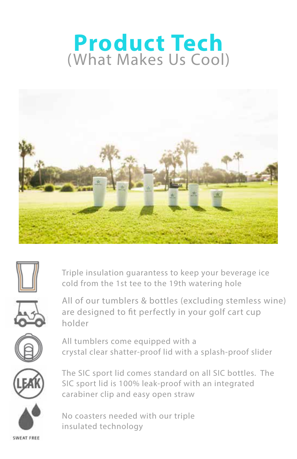#### **Product Tech** (What Makes Us Cool)





Triple insulation guarantess to keep your beverage ice cold from the 1st tee to the 19th watering hole



All of our tumblers & bottles (excluding stemless wine) are designed to fit perfectly in your golf cart cup holder



All tumblers come equipped with a crystal clear shatter-proof lid with a splash-proof slider



The SIC sport lid comes standard on all SIC bottles. The SIC sport lid is 100% leak-proof with an integrated carabiner clip and easy open straw



No coasters needed with our triple insulated technology

SWEAT FREE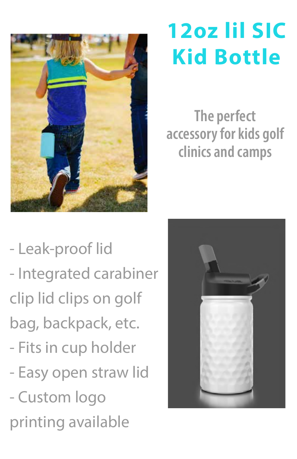

## 12oz lil SIC **Kid Bottle**

The perfect accessory for kids golf clinics and camps

- Leak-proof lid - Integrated carabiner clip lid clips on golf bag, backpack, etc. - Fits in cup holder - Easy open straw lid - Custom logo printing available

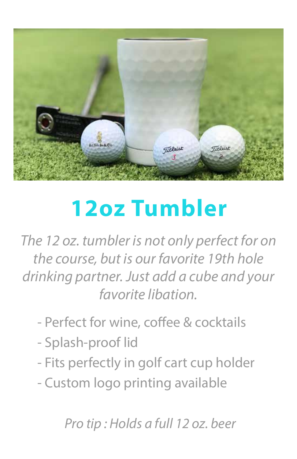

### **12oz Tumbler**

The 12 oz. tumbler is not only perfect for on the course, but is our favorite 19th hole drinking partner. Just add a cube and your favorite libation

- Perfect for wine, coffee & cocktails
- Splash-proof lid
- Fits perfectly in golf cart cup holder
- Custom logo printing available

**Pro tip: Holds a full 12 oz. beer**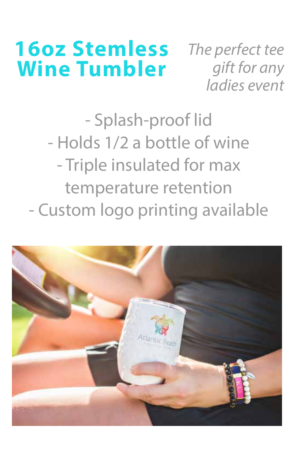#### **16oz Stemless Wine Tumbler**

The perfect tee gift for any ladies event

- Splash-proof lid - Holds 1/2 a bottle of wine - Triple insulated for max temperature retention - Custom logo printing available

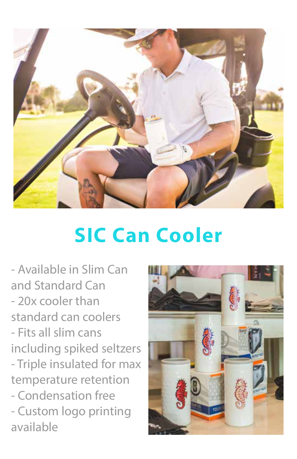

#### **SIC Can Cooler**

- Available in Slim Can and Standard Can - 20x cooler than standard can coolers - Fits all slim cans including spiked seltzers - Triple insulated for max temperature retention - Condensation free - Custom logo printing available

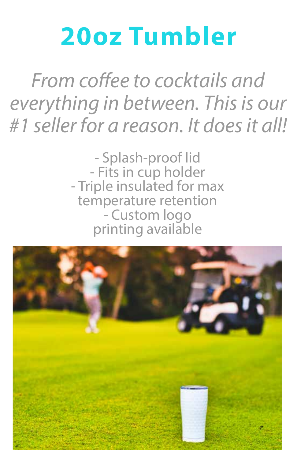# 20oz Tumbler

From coffee to cocktails and everything in between. This is our #1 seller for a reason. It does it all!

> - Splash-proof lid - Fits in cup holder - Triple insulated for max temperature retention - Custom logo printing available

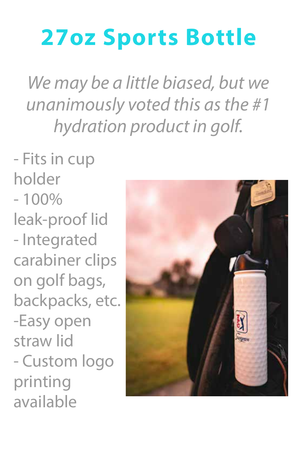### **27oz Sports Bottle**

We may be a little biased, but we unanimously voted this as the #1 hydration product in golf.

- Fits in cup holder  $-100%$ leak-proof lid - Integrated carabiner clips on golf bags, backpacks, etc. -Easy open straw lid - Custom logo printing available

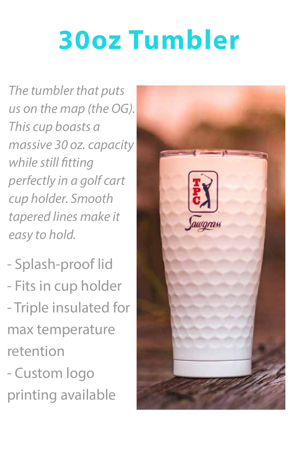# **30oz Tumbler**

*The tumbler that puts* us on the map (the OG). This cup boasts a massive 30 oz. capacity while still fitting perfectly in a golf cart cup holder. Smooth tapered lines make it easy to hold.

- Splash-proof lid - Fits in cup holder - Triple insulated for max temperature retention
- Custom logo printing available

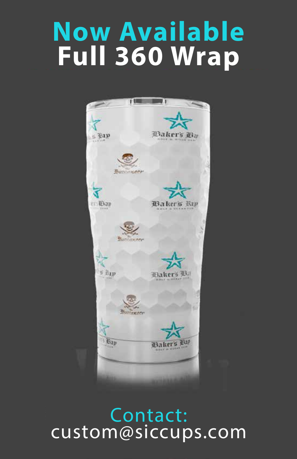# **Now Available** Full 360 Wrap



Contact: custom@siccups.com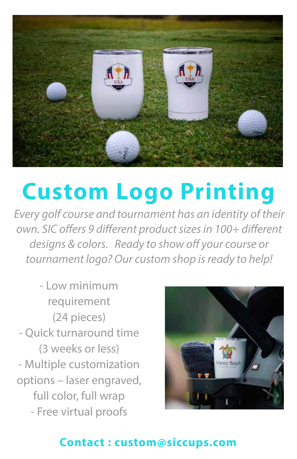

### **Custom Logo Printing**

Every golf course and tournament has an identity of their own. SIC offers 9 different product sizes in 100+ different *designs & colors.* Ready to show off your course or tournament logo? Our custom shop is ready to help!

- Low minimum requirement (24 pieces) - Quick turnaround time (3 weeks or less) - Multiple customization options – laser engraved, full color, full wrap - Free virtual proofs



#### Contact: custom@siccups.com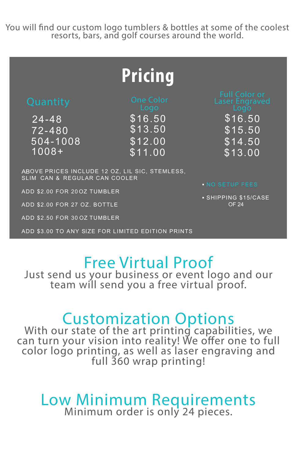You will find our custom logo tumblers & bottles at some of the coolest resorts, bars, and golf courses around the world.

#### **Pricing**

24-48 72- 480 72- 480 504-1008 1008+ 24-48 504-1008

 $$16.50$   $$16$ \$13.50 \$12.00 \$11.00

 $$16.50$ \$15.50 \$14.50 \$13.00

.<br>ABOVE PRICES INCLUDE 12 OZ, LIL SIC, STEMLESS, SLIM CAN & REGULAR CAN COOLER

 $ADDB$ ADD \$2.00 FOR 200Z TUMBLER

ADD \$2.00 FOR 27 OZ. BOTTLE

ADD \$2.50 FOR 30 OZ TUMBLER

ADD \$2.50 FOR 30 OZ ADD \$3.00 TO ANY SIZE FOR LIMITED EDITION PRINTS

**▪** SHIPPING \$15/CASE OF 24

#### Free Virtual Proof

Just send us your business or event logo and our team will send you a free virtual proof.

### **Customization Options**<br>With our state of the art printing capabilities, we

can turn your vision into reality! We offer one to full color logo printing, as well as laser engraving and full 360 wrap printing!

# Low Minimum Requirements<br>Minimum order is only 24 pieces.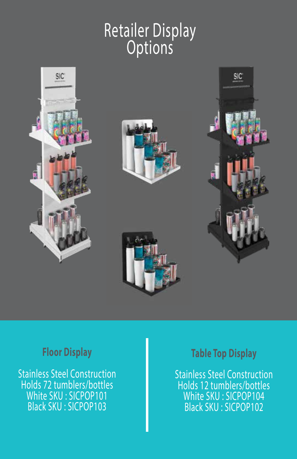#### Retailer Display Options









#### **Floor Display**

Stainless Steel Construction Holds 72 tumblers/bottles White SKU : SICPOP101 Black SKU : SICPOP103

#### Table Top Display

Stainless Steel Construction Holds 12 tumblers/bottles White SKU : SICPOP104 Black SKU : SICPOP102